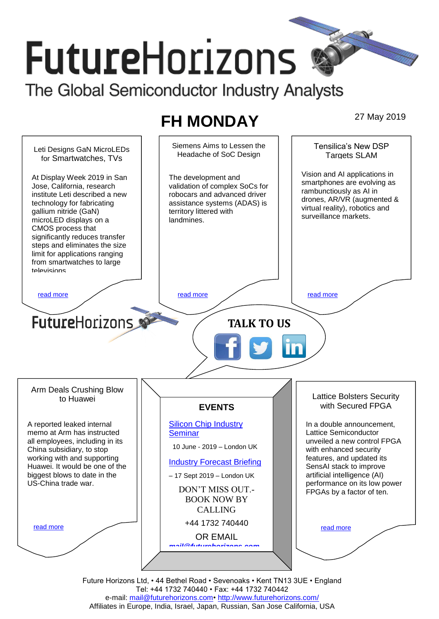# **FutureHorizons**

The Global Semiconductor Industry Analysts

## **FH MONDAY** 27 May 2019



Future Horizons Ltd, • 44 Bethel Road • Sevenoaks • Kent TN13 3UE • England Tel: +44 1732 740440 • Fax: +44 1732 740442 e-mail: mail@futurehorizons.com• http://www.futurehorizons.com/ Affiliates in Europe, India, Israel, Japan, Russian, San Jose California, USA